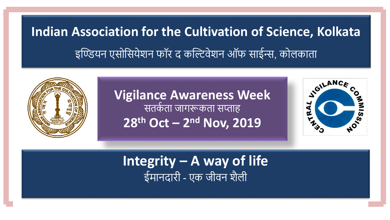## **Indian Association for the Cultivation of Science, Kolkata** इण्डियन एसोसियेशन फॉर द कल्टिवेशन ऑफ साईन्स, कोलकाता



**Vigilance Awareness Week** सतर्कता जागरूकता सप्ताह **28th Oct – 2 nd Nov, 2019**



**Integrity – A way of life** ईमानदारी - एक जीवन शैली